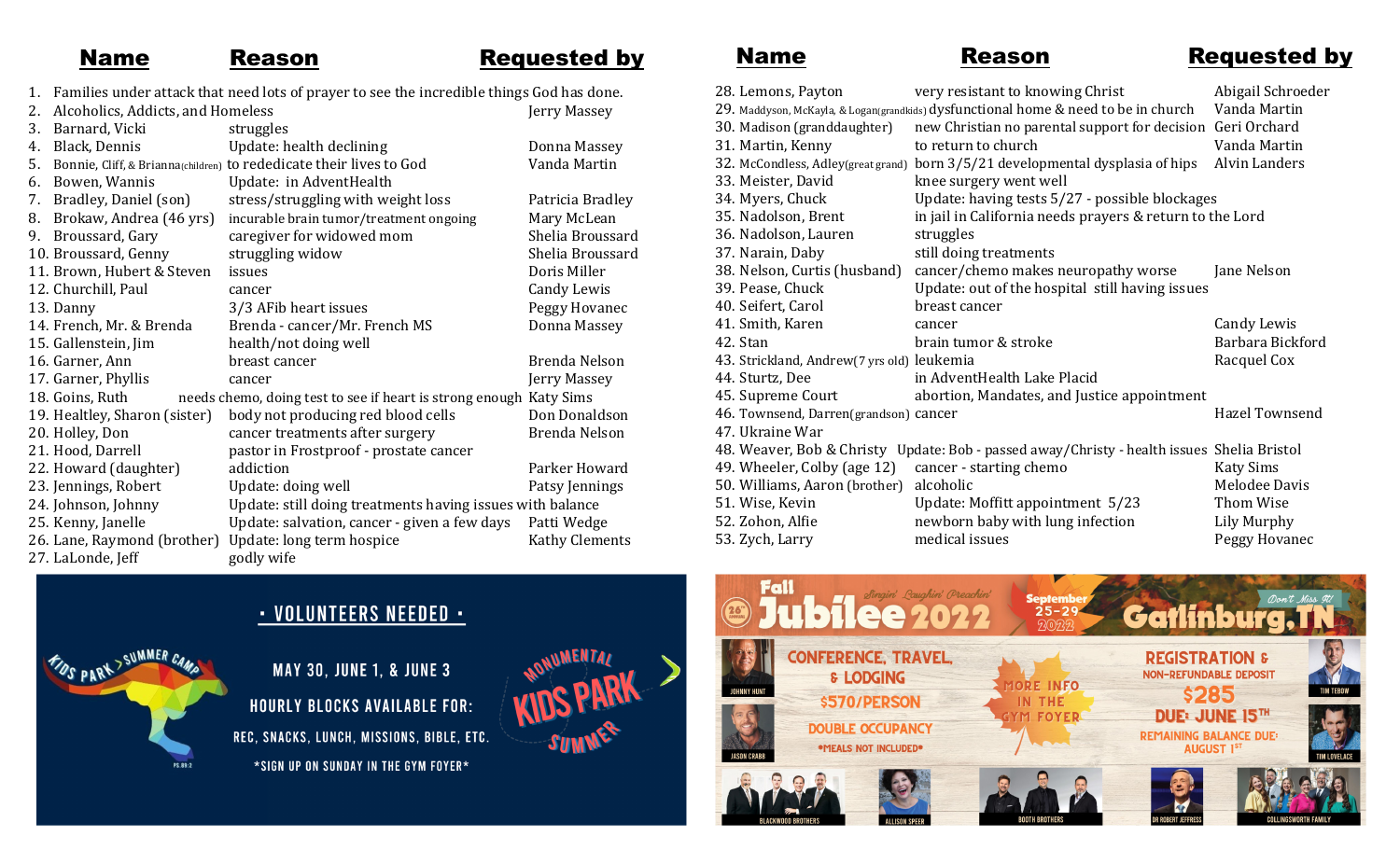## Name Reason Requested by

- 1. Families under attack that need lots of prayer to see the incredible things God has done.
- 2. Alcoholics, Addicts, and Homeless Jerry Massey 3. Barnard, Vicki struggles 4. Black, Dennis Update: health declining Donna Massey 5. Bonnie, Cliff, & Brianna<sub>(children)</sub> to rededicate their lives to God Vanda Martin 6. Bowen, Wannis Update: in AdventHealth 7. Bradley, Daniel (son) stress/struggling with weight loss Patricia Bradley<br>8. Brokaw, Andrea (46 yrs) incurable brain tumor/treatment ongoing Mary McLean 8. Brokaw, Andrea (46 yrs) incurable brain tumor/treatment ongoing Mary McLean 9. Broussard, Gary caregiver for widowed mom Shelia Broussard 10. Broussard, Genny struggling widow Shelia Broussard 11. Brown, Hubert & Steven issues Doris Miller 12. Churchill, Paul cancer Candy Lewis Candy Lewis 13. Danny 3/3 AFib heart issues Peggy Hovanec 14. French, Mr. & Brenda Brenda - cancer/Mr. French MS Donna Massey 15. Gallenstein, Jim health/not doing well 16. Garner, Ann breast cancer and breast compared by Brenda Nelson 17. Garner, Phyllis cancer Jerry Massey 18. Goins, Ruth needs chemo, doing test to see if heart is strong enough Katy Sims 19. Healtley, Sharon (sister) body not producing red blood cells Don Donaldson 20. Holley, Don cancer treatments after surgery Brenda Nelson 21. Hood, Darrell pastor in Frostproof - prostate cancer 22. Howard (daughter) addiction and example and parker Howard 23. Jennings, Robert Update: doing well Patsy Jennings Patsy Jennings 24. Johnson, Johnny Update: still doing treatments having issues with balance 25. Kenny, Janelle Update: salvation, cancer - given a few days Patti Wedge 26. Lane, Raymond (brother) Update: long term hospice Kathy Clements 27. LaLonde, Jeff godly wife

Name Reason Requested by

| 28. Lemons, Payton                         | very resistant to knowing Christ                                                           | Abigail Schroeder    |
|--------------------------------------------|--------------------------------------------------------------------------------------------|----------------------|
|                                            | 29. Maddyson, McKayla, & Logan(grandkids) dysfunctional home & need to be in church        | Vanda Martin         |
| 30. Madison (granddaughter)                | new Christian no parental support for decision Geri Orchard                                |                      |
| 31. Martin, Kenny                          | to return to church                                                                        | Vanda Martin         |
| 32. McCondless, Adley(great grand)         | born 3/5/21 developmental dysplasia of hips                                                | <b>Alvin Landers</b> |
| 33. Meister, David                         | knee surgery went well                                                                     |                      |
| 34. Myers, Chuck                           | Update: having tests 5/27 - possible blockages                                             |                      |
| 35. Nadolson, Brent                        | in jail in California needs prayers & return to the Lord                                   |                      |
| 36. Nadolson, Lauren                       | struggles                                                                                  |                      |
| 37. Narain, Daby                           | still doing treatments                                                                     |                      |
| 38. Nelson, Curtis (husband)               | cancer/chemo makes neuropathy worse                                                        | Jane Nelson          |
| 39. Pease, Chuck                           | Update: out of the hospital still having issues                                            |                      |
| 40. Seifert, Carol                         | breast cancer                                                                              |                      |
| 41. Smith, Karen                           | cancer                                                                                     | Candy Lewis          |
| 42. Stan                                   | brain tumor & stroke                                                                       | Barbara Bickford     |
| 43. Strickland, Andrew(7 yrs old) leukemia |                                                                                            | Racquel Cox          |
| 44. Sturtz, Dee                            | in AdventHealth Lake Placid                                                                |                      |
| 45. Supreme Court                          | abortion, Mandates, and Justice appointment                                                |                      |
| 46. Townsend, Darren(grandson) cancer      |                                                                                            | Hazel Townsend       |
| 47. Ukraine War                            |                                                                                            |                      |
|                                            | 48. Weaver, Bob & Christy Update: Bob - passed away/Christy - health issues Shelia Bristol |                      |
| 49. Wheeler, Colby (age 12)                | cancer - starting chemo                                                                    | <b>Katy Sims</b>     |
| 50. Williams, Aaron (brother)              | alcoholic                                                                                  | Melodee Davis        |
| 51. Wise, Kevin                            | Update: Moffitt appointment 5/23                                                           | Thom Wise            |
| 52. Zohon, Alfie                           | newborn baby with lung infection                                                           | Lily Murphy          |
| 53. Zych, Larry                            | medical issues                                                                             | Peggy Hovanec        |
|                                            |                                                                                            |                      |



## · VOLUNTEERS NEEDED ·

**MAY 30, JUNE 1, & JUNE 3 HOURLY BLOCKS AVAILABLE FOR:** REC, SNACKS, LUNCH, MISSIONS, BIBLE, ETC. \*SIGN UP ON SUNDAY IN THE GYM FOYER\*